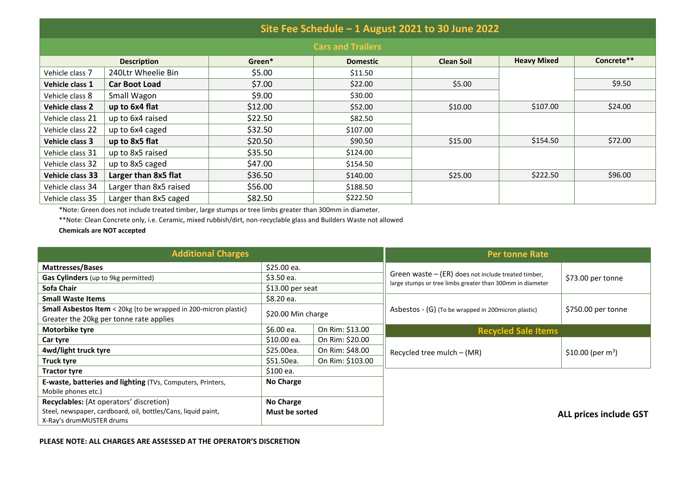| Site Fee Schedule - 1 August 2021 to 30 June 2022 |                        |         |                 |                   |                    |            |  |  |  |
|---------------------------------------------------|------------------------|---------|-----------------|-------------------|--------------------|------------|--|--|--|
| <b>Cars and Trailers</b>                          |                        |         |                 |                   |                    |            |  |  |  |
| <b>Description</b>                                |                        | Green*  | <b>Domestic</b> | <b>Clean Soil</b> | <b>Heavy Mixed</b> | Concrete** |  |  |  |
| Vehicle class 7                                   | 240Ltr Wheelie Bin     | \$5.00  | \$11.50         |                   |                    |            |  |  |  |
| Vehicle class 1                                   | <b>Car Boot Load</b>   | \$7.00  | \$22.00         | \$5.00            |                    | \$9.50     |  |  |  |
| Vehicle class 8                                   | Small Wagon            | \$9.00  | \$30.00         |                   |                    |            |  |  |  |
| <b>Vehicle class 2</b>                            | up to 6x4 flat         | \$12.00 | \$52.00         | \$10.00           | \$107.00           | \$24.00    |  |  |  |
| Vehicle class 21                                  | up to 6x4 raised       | \$22.50 | \$82.50         |                   |                    |            |  |  |  |
| Vehicle class 22                                  | up to 6x4 caged        | \$32.50 | \$107.00        |                   |                    |            |  |  |  |
| <b>Vehicle class 3</b>                            | up to 8x5 flat         | \$20.50 | \$90.50         | \$15.00           | \$154.50           | \$72.00    |  |  |  |
| Vehicle class 31                                  | up to 8x5 raised       | \$35.50 | \$124.00        |                   |                    |            |  |  |  |
| Vehicle class 32                                  | up to 8x5 caged        | \$47.00 | \$154.50        |                   |                    |            |  |  |  |
| Vehicle class 33                                  | Larger than 8x5 flat   | \$36.50 | \$140.00        | \$25.00           | \$222.50           | \$96.00    |  |  |  |
| Vehicle class 34                                  | Larger than 8x5 raised | \$56.00 | \$188.50        |                   |                    |            |  |  |  |
| Vehicle class 35                                  | Larger than 8x5 caged  | \$82.50 | \$222.50        |                   |                    |            |  |  |  |

\*Note: Green does not include treated timber, large stumps or tree limbs greater than 300mm in diameter.

\*\*Note: Clean Concrete only, i.e. Ceramic, mixed rubbish/dirt, non-recyclable glass and Builders Waste not allowed

**Chemicals are NOT accepted**

| <b>Additional Charges</b>                                                                                                            | <b>Per tonne Rate</b>       |                  |                                                                                                                    |                               |  |
|--------------------------------------------------------------------------------------------------------------------------------------|-----------------------------|------------------|--------------------------------------------------------------------------------------------------------------------|-------------------------------|--|
| <b>Mattresses/Bases</b>                                                                                                              | \$25.00 ea.                 |                  |                                                                                                                    | \$73.00 per tonne             |  |
| Gas Cylinders (up to 9kg permitted)                                                                                                  | \$3.50 ea.                  |                  | Green waste $-$ (ER) does not include treated timber,<br>large stumps or tree limbs greater than 300mm in diameter |                               |  |
| Sofa Chair                                                                                                                           | $$13.00$ per seat           |                  |                                                                                                                    |                               |  |
| <b>Small Waste Items</b>                                                                                                             | \$8.20 ea.                  |                  |                                                                                                                    | \$750.00 per tonne            |  |
| <b>Small Asbestos Item</b> < 20kg (to be wrapped in 200-micron plastic)<br>Greater the 20kg per tonne rate applies                   | \$20.00 Min charge          |                  | Asbestos - (G) (To be wrapped in 200 micron plastic)                                                               |                               |  |
| Motorbike tyre                                                                                                                       | \$6.00 ea.                  | On Rim: \$13.00  |                                                                                                                    | <b>Recycled Sale Items</b>    |  |
| Car tyre                                                                                                                             | \$10.00 ea.                 | On Rim: \$20.00  |                                                                                                                    |                               |  |
| 4wd/light truck tyre                                                                                                                 | \$25.00ea.                  | On Rim: \$48.00  | Recycled tree mulch $-$ (MR)                                                                                       | \$10.00 (per $m^3$ )          |  |
| Truck tyre                                                                                                                           | \$51.50ea.                  | On Rim: \$103.00 |                                                                                                                    |                               |  |
| <b>Tractor tyre</b>                                                                                                                  | \$100 ea.                   |                  |                                                                                                                    |                               |  |
| E-waste, batteries and lighting (TVs, Computers, Printers,<br>Mobile phones etc.)                                                    | No Charge                   |                  |                                                                                                                    |                               |  |
| Recyclables: (At operators' discretion)<br>Steel, newspaper, cardboard, oil, bottles/Cans, liquid paint,<br>X-Ray's drumMUSTER drums | No Charge<br>Must be sorted |                  |                                                                                                                    | <b>ALL prices include GST</b> |  |

#### **PLEASE NOTE: ALL CHARGES ARE ASSESSED AT THE OPERATOR'S DISCRETION**